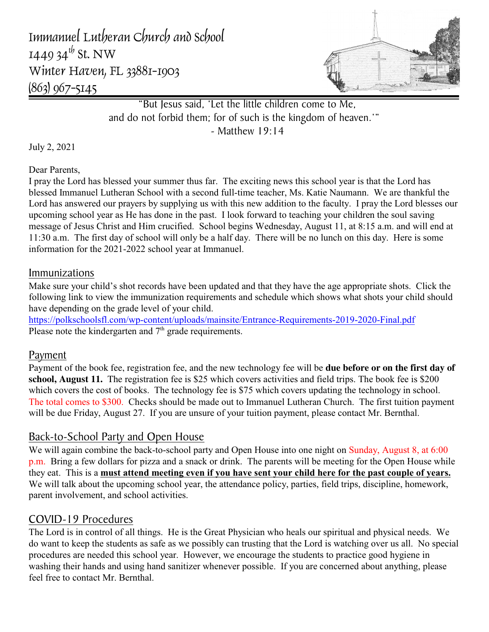Immanuel Lutheran Church and School 1449 34 $^{th}$  St. NW Winter Haven, FL 33881-1903 (863) 967-5145



"But Jesus said, 'Let the little children come to Me, and do not forbid them; for of such is the kingdom of heaven.'" - Matthew 19:14

July 2, 2021

Dear Parents,

I pray the Lord has blessed your summer thus far. The exciting news this school year is that the Lord has blessed Immanuel Lutheran School with a second full-time teacher, Ms. Katie Naumann. We are thankful the Lord has answered our prayers by supplying us with this new addition to the faculty. I pray the Lord blesses our upcoming school year as He has done in the past. I look forward to teaching your children the soul saving message of Jesus Christ and Him crucified. School begins Wednesday, August 11, at 8:15 a.m. and will end at 11:30 a.m. The first day of school will only be a half day. There will be no lunch on this day. Here is some information for the 2021-2022 school year at Immanuel.

## Immunizations

Make sure your child's shot records have been updated and that they have the age appropriate shots. Click the following link to view the immunization requirements and schedule which shows what shots your child should have depending on the grade level of your child.

<https://polkschoolsfl.com/wp-content/uploads/mainsite/Entrance-Requirements-2019-2020-Final.pdf> Please note the kindergarten and  $7<sup>th</sup>$  grade requirements.

## Payment

Payment of the book fee, registration fee, and the new technology fee will be **due before or on the first day of school, August 11.** The registration fee is \$25 which covers activities and field trips. The book fee is \$200 which covers the cost of books. The technology fee is \$75 which covers updating the technology in school. The total comes to \$300. Checks should be made out to Immanuel Lutheran Church. The first tuition payment will be due Friday, August 27. If you are unsure of your tuition payment, please contact Mr. Bernthal.

# Back-to-School Party and Open House

We will again combine the back-to-school party and Open House into one night on Sunday, August 8, at 6:00 p.m. Bring a few dollars for pizza and a snack or drink. The parents will be meeting for the Open House while they eat. This is a **must attend meeting even if you have sent your child here for the past couple of years.** We will talk about the upcoming school year, the attendance policy, parties, field trips, discipline, homework, parent involvement, and school activities.

# COVID-19 Procedures

The Lord is in control of all things. He is the Great Physician who heals our spiritual and physical needs. We do want to keep the students as safe as we possibly can trusting that the Lord is watching over us all. No special procedures are needed this school year. However, we encourage the students to practice good hygiene in washing their hands and using hand sanitizer whenever possible. If you are concerned about anything, please feel free to contact Mr. Bernthal.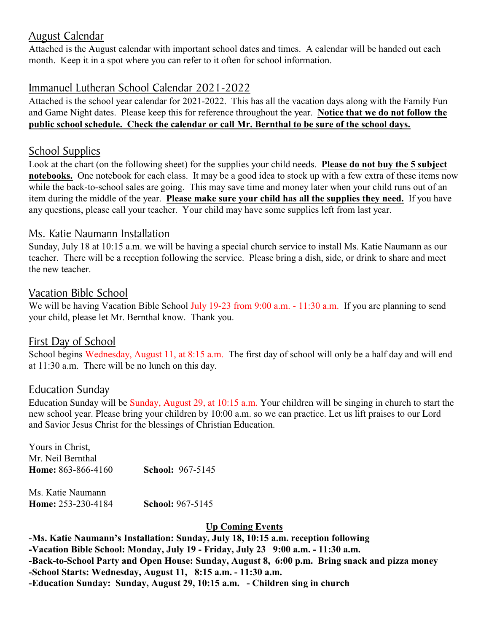## August Calendar

Attached is the August calendar with important school dates and times. A calendar will be handed out each month. Keep it in a spot where you can refer to it often for school information.

# Immanuel Lutheran School Calendar 2021-2022

Attached is the school year calendar for 2021-2022. This has all the vacation days along with the Family Fun and Game Night dates. Please keep this for reference throughout the year. **Notice that we do not follow the public school schedule. Check the calendar or call Mr. Bernthal to be sure of the school days.**

## School Supplies

Look at the chart (on the following sheet) for the supplies your child needs. **Please do not buy the 5 subject notebooks.** One notebook for each class. It may be a good idea to stock up with a few extra of these items now while the back-to-school sales are going. This may save time and money later when your child runs out of an item during the middle of the year. **Please make sure your child has all the supplies they need.** If you have any questions, please call your teacher. Your child may have some supplies left from last year.

## Ms. Katie Naumann Installation

Sunday, July 18 at 10:15 a.m. we will be having a special church service to install Ms. Katie Naumann as our teacher. There will be a reception following the service. Please bring a dish, side, or drink to share and meet the new teacher.

## Vacation Bible School

We will be having Vacation Bible School July 19-23 from 9:00 a.m. - 11:30 a.m. If you are planning to send your child, please let Mr. Bernthal know. Thank you.

## First Day of School

School begins Wednesday, August 11, at 8:15 a.m. The first day of school will only be a half day and will end at 11:30 a.m. There will be no lunch on this day.

## Education Sunday

Education Sunday will be Sunday, August 29, at 10:15 a.m. Your children will be singing in church to start the new school year. Please bring your children by 10:00 a.m. so we can practice. Let us lift praises to our Lord and Savior Jesus Christ for the blessings of Christian Education.

Yours in Christ, Mr. Neil Bernthal **Home:** 863-866-4160 **School:** 967-5145

Ms. Katie Naumann **Home:** 253-230-4184 **School:** 967-5145

#### **Up Coming Events**

**-Ms. Katie Naumann's Installation: Sunday, July 18, 10:15 a.m. reception following -Vacation Bible School: Monday, July 19 - Friday, July 23 9:00 a.m. - 11:30 a.m. -Back-to-School Party and Open House: Sunday, August 8, 6:00 p.m. Bring snack and pizza money -School Starts: Wednesday, August 11, 8:15 a.m. - 11:30 a.m. -Education Sunday: Sunday, August 29, 10:15 a.m. - Children sing in church**